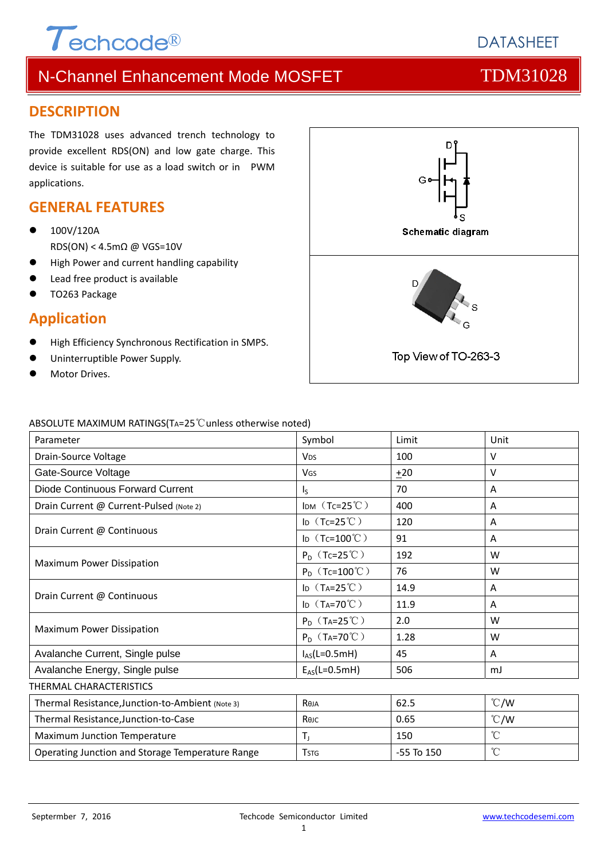

### **DESCRIPTION**

The TDM31028 uses advanced trench technology to provide excellent RDS(ON) and low gate charge. This device is suitable for use as a load switch or in PWM applications.

### **GENERAL FEATURES**

- 100V/120A RDS(ON) < 4.5mΩ @ VGS=10V
- High Power and current handling capability
- Lead free product is available
- TO263 Package

### **Application**

- High Efficiency Synchronous Rectification in SMPS.
- Uninterruptible Power Supply.
- Motor Drives.



#### ABSOLUTE MAXIMUM RATINGS(TA=25℃unless otherwise noted)

| Parameter                                        | Symbol                               | Limit          | Unit            |
|--------------------------------------------------|--------------------------------------|----------------|-----------------|
| Drain-Source Voltage                             | <b>V<sub>DS</sub></b>                | 100            | $\vee$          |
| Gate-Source Voltage                              | VGS                                  | ±20            | v               |
| Diode Continuous Forward Current                 | $\mathsf{I}_\mathsf{S}$              | 70             | A               |
| Drain Current @ Current-Pulsed (Note 2)          | IDM $(Tc=25^{\circ}C)$               | 400            | A               |
| Drain Current @ Continuous                       | ID $(Tc=25^{\circ}C)$                | 120            | A               |
|                                                  | ID $(Tc=100^{\circ}C)$               | 91             | A               |
| Maximum Power Dissipation                        | $P_D$ (Tc=25°C)                      | 192            | W               |
|                                                  | $P_D$ (Tc=100°C)                     | 76             | W               |
| Drain Current @ Continuous                       | ID $(T_A=25^{\circ}C)$               | 14.9           | A               |
|                                                  | ID $(T_A=70^{\circ}C)$               | 11.9           | A               |
| Maximum Power Dissipation                        | $P_D$ (T <sub>A</sub> =25°C)         | 2.0            | W               |
|                                                  | $P_D$ (T <sub>A</sub> =70°C)         | 1.28           | W               |
| Avalanche Current, Single pulse                  | $I_{AS}(L=0.5mH)$                    | 45             | A               |
| Avalanche Energy, Single pulse                   | $E_{AS}(L=0.5mH)$                    | 506            | mJ              |
| THERMAL CHARACTERISTICS                          |                                      |                |                 |
| Thermal Resistance, Junction-to-Ambient (Note 3) | Reja                                 | 62.5           | $\degree$ C/W   |
| Thermal Resistance, Junction-to-Case             | Көлс                                 | 0.65           | $\degree$ C/W   |
| Maximum Junction Temperature                     | $T_{\rm J}$                          | 150            | $\rm ^{\circ}C$ |
| Operating Junction and Storage Temperature Range | <b>T</b> <sub>S</sub> T <sub>G</sub> | $-55$ To $150$ | $\rm ^{\circ}C$ |

#### 1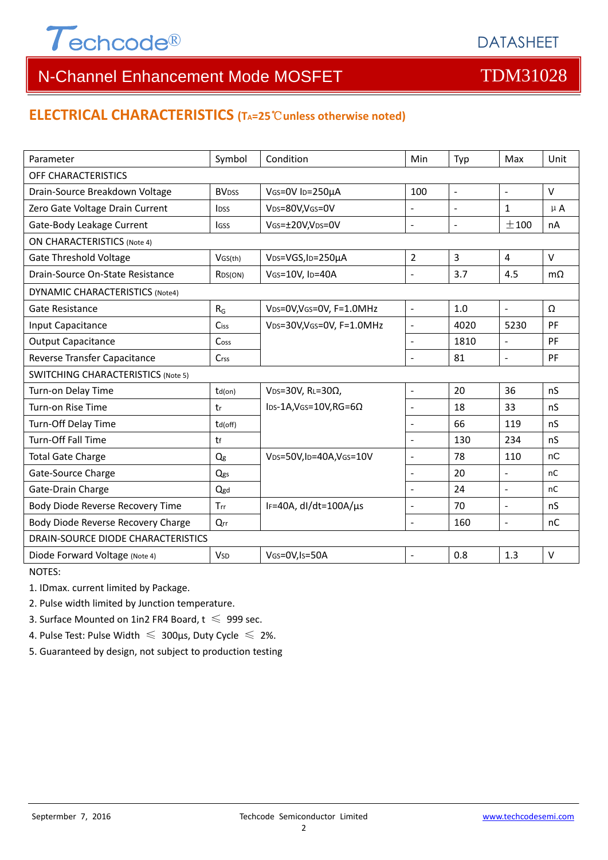

## **ELECTRICAL CHARACTERISTICS (TA=25**℃**unless otherwise noted)**

| Parameter                                 | Symbol                   | Condition                                  | Min                      | Typ            | Max                      | Unit      |  |  |  |
|-------------------------------------------|--------------------------|--------------------------------------------|--------------------------|----------------|--------------------------|-----------|--|--|--|
| OFF CHARACTERISTICS                       |                          |                                            |                          |                |                          |           |  |  |  |
| Drain-Source Breakdown Voltage            | <b>BV</b> <sub>DSS</sub> | VGS=0V ID=250µA                            | 100                      | $\blacksquare$ | $\blacksquare$           | $\vee$    |  |  |  |
| Zero Gate Voltage Drain Current           | <b>l</b> <sub>DSS</sub>  | VDS=80V,VGS=0V                             | $\overline{\phantom{a}}$ |                | $\mathbf{1}$             | $\mu$ A   |  |  |  |
| Gate-Body Leakage Current                 | <b>IGSS</b>              | VGS=±20V,VDS=0V                            | $\blacksquare$           | $\blacksquare$ | ±100                     | nA        |  |  |  |
| <b>ON CHARACTERISTICS (Note 4)</b>        |                          |                                            |                          |                |                          |           |  |  |  |
| <b>Gate Threshold Voltage</b>             | VGS(th)                  | VDS=VGS, ID=250µA                          | $\overline{2}$           | $\overline{3}$ | $\overline{4}$           | $\vee$    |  |  |  |
| Drain-Source On-State Resistance          | R <sub>DS</sub> (ON)     | VGS=10V, ID=40A                            | $\overline{a}$           | 3.7            | 4.5                      | $m\Omega$ |  |  |  |
| <b>DYNAMIC CHARACTERISTICS (Note4)</b>    |                          |                                            |                          |                |                          |           |  |  |  |
| Gate Resistance                           | $R_G$                    | VDS=0V, VGS=0V, F=1.0MHz                   | $\Box$                   | 1.0            | $\mathbb{L}$             | Ω         |  |  |  |
| Input Capacitance                         | Ciss                     | VDS=30V, VGS=0V, F=1.0MHz                  | $\overline{a}$           | 4020           | 5230                     | PF        |  |  |  |
| <b>Output Capacitance</b>                 | Coss                     |                                            | $\Box$                   | 1810           | $\overline{a}$           | PF        |  |  |  |
| Reverse Transfer Capacitance              | <b>Crss</b>              |                                            | $\Box$                   | 81             | $\overline{a}$           | PF        |  |  |  |
| <b>SWITCHING CHARACTERISTICS (Note 5)</b> |                          |                                            |                          |                |                          |           |  |  |  |
| Turn-on Delay Time                        | $td($ on $)$             | V <sub>DS</sub> =30V, RL=30 $\Omega$ ,     | $\equiv$                 | 20             | 36                       | nS        |  |  |  |
| Turn-on Rise Time                         | tr                       | $\text{los-1A,VGS}=10V, \text{RG}=6\Omega$ | $\blacksquare$           | 18             | 33                       | nS        |  |  |  |
| Turn-Off Delay Time                       | td(off)                  |                                            | $\overline{\phantom{a}}$ | 66             | 119                      | nS        |  |  |  |
| Turn-Off Fall Time                        | tf                       |                                            | $\blacksquare$           | 130            | 234                      | nS        |  |  |  |
| <b>Total Gate Charge</b>                  | Qg                       | VDS=50V,ID=40A,VGS=10V                     | $\overline{a}$           | 78             | 110                      | nC        |  |  |  |
| Gate-Source Charge                        | Qgs                      |                                            | $\overline{a}$           | 20             | $\mathbf{r}$             | nC        |  |  |  |
| Gate-Drain Charge                         | Qgd                      |                                            | $\overline{a}$           | 24             | $\sim$                   | nC        |  |  |  |
| Body Diode Reverse Recovery Time          | Trr                      | IF=40A, dl/dt=100A/µs                      | $\blacksquare$           | 70             | $\overline{\phantom{a}}$ | nS        |  |  |  |
| Body Diode Reverse Recovery Charge        | Qrr                      |                                            | $\blacksquare$           | 160            | $\blacksquare$           | nC        |  |  |  |
| DRAIN-SOURCE DIODE CHARACTERISTICS        |                          |                                            |                          |                |                          |           |  |  |  |
| Diode Forward Voltage (Note 4)            | <b>V</b> sp              | VGS=0V,Is=50A                              | $\overline{a}$           | 0.8            | 1.3                      | $\vee$    |  |  |  |

NOTES:

1. IDmax. current limited by Package.

2. Pulse width limited by Junction temperature.

3. Surface Mounted on 1in2 FR4 Board,  $t \le 999$  sec.

4. Pulse Test: Pulse Width  $\leq 300$ μs, Duty Cycle  $\leq 2\%$ .

5. Guaranteed by design, not subject to production testing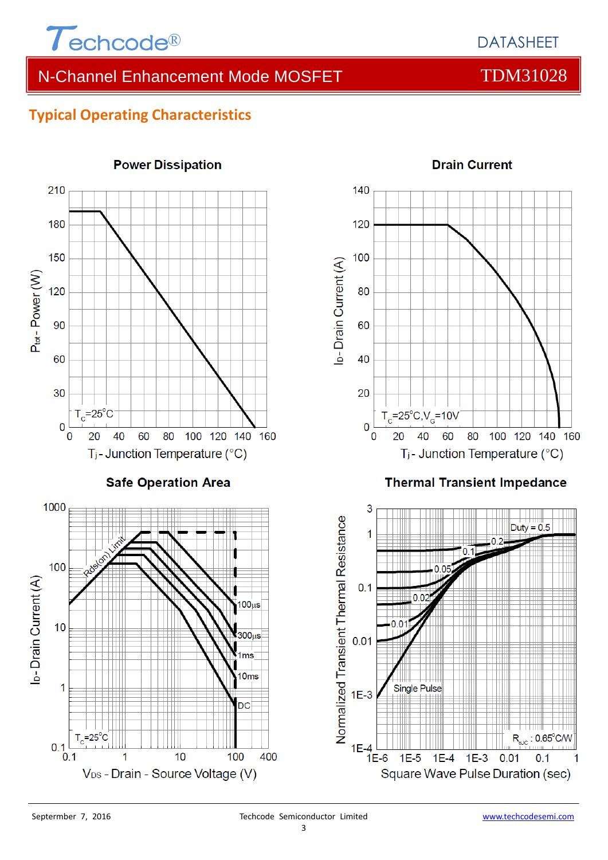

## **Typical Operating Characteristics**



#### 3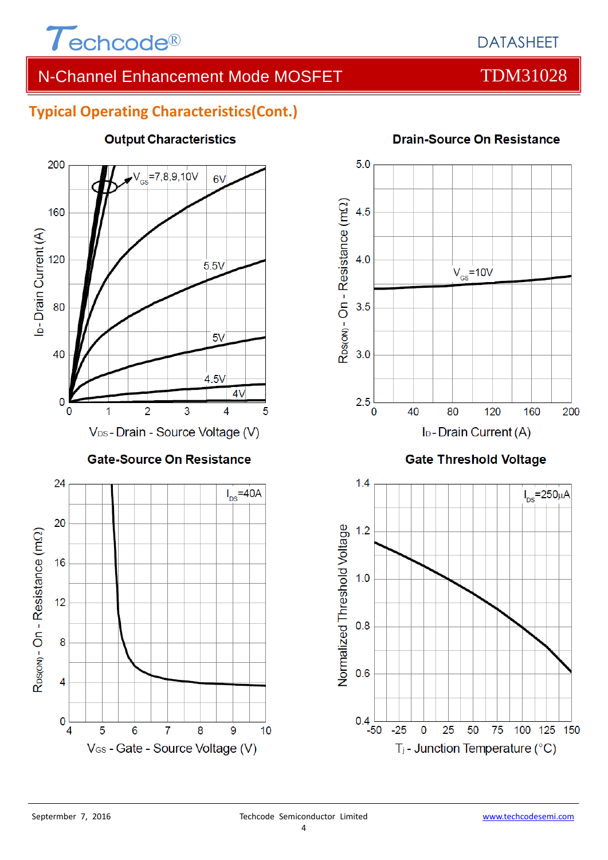

## **Typical Operating Characteristics(Cont.)**



## **Output Characteristics**



### **Drain-Source On Resistance**

-50

 $-25$ 

 $\mathbf 0$ 

25

50

T<sub>j</sub> - Junction Temperature (°C)

75

100 125 150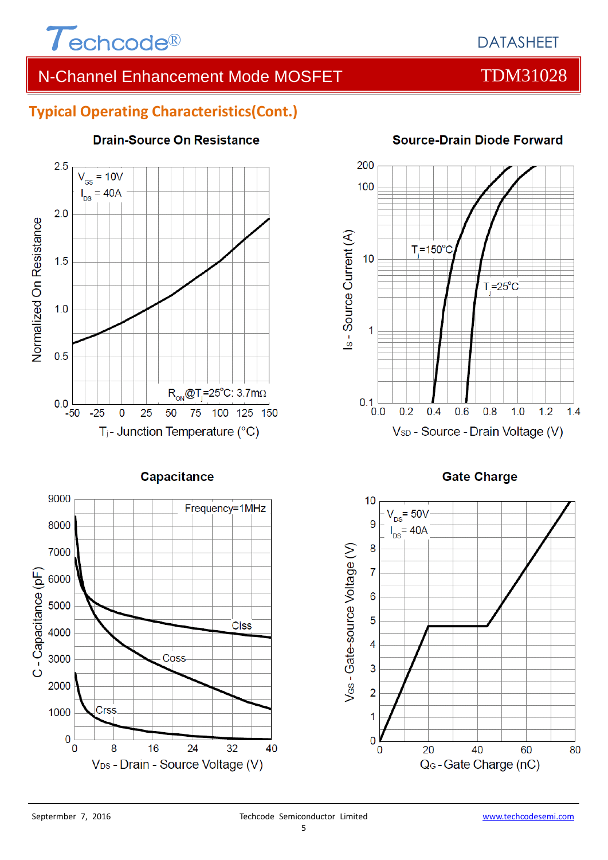

# DATASHEET

# N-Channel Enhancement Mode MOSFET TOM31028

## **Typical Operating Characteristics(Cont.)**



### **Drain-Source On Resistance**



#### **Source-Drain Diode Forward**





**Capacitance** 

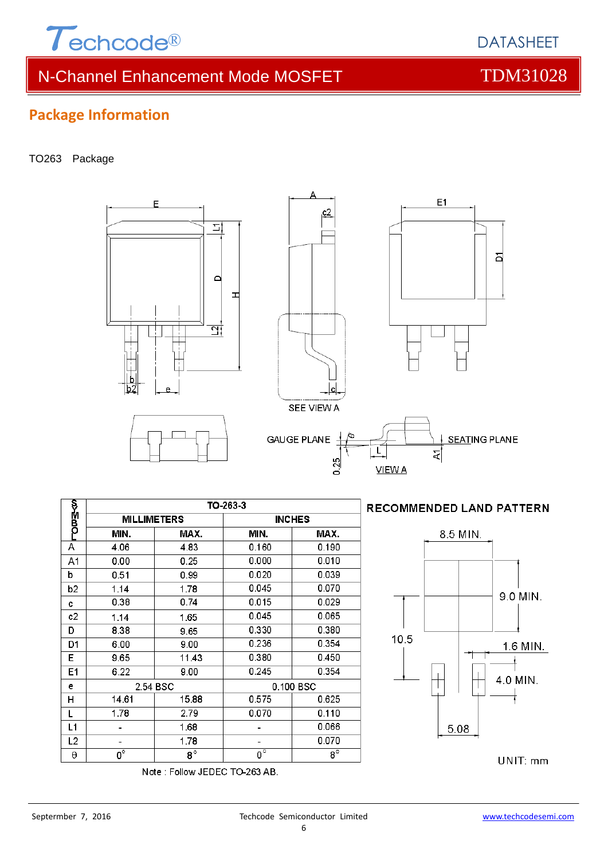

 $\sum$ 

F

−დ¤≩∢ო

А

A<sub>1</sub>

 $\overline{b}$ 

 $\overline{b2}$ 

 $\mathbf c$  $c2$ 

D

D<sub>1</sub>

 $E$ 

E<sub>1</sub>

 $\ddot{\textbf{e}}$ 

 $\overline{H}$ 

L  $L1$ 

 $L<sub>2</sub>$ 

 $\Theta$ 

6.00

 $9.65$ 

 $6.22$ 

14.61

 $1.78$ 

÷,

 $\blacksquare$ 

 $\overline{0^{\circ}}$ 

2.54 BSC

 $9.00$ 

11.43

 $9.00$ 

15.88

 $2.79$ 

1.68

1.78

 $\overline{8^{\circ}}$ 

Note: Follow JEDEC TO-263 AB.

Septermber 7, 2016 Techcode Semiconductor Limited www.techcodesemi.com 6

0.100 BSC

 $0.236$ 

 $0.380$ 

 $0.245$ 

0.575

 $0.070$ 

 $\overline{\phantom{a}}$ 

 $\overline{\phantom{a}}$ 

 $\overline{0}^{\circ}$ 

 $0.354$ 

 $0.450$ 

 $0.354$ 

0.625

 $0.110$ 

0.066

0.070

 $\overline{8^{\circ}}$ 

# **Package Information**

#### TO263 Package



 $c2$ 



UNIT: mm

9.0 MIN.

DATASHEET

침

E1